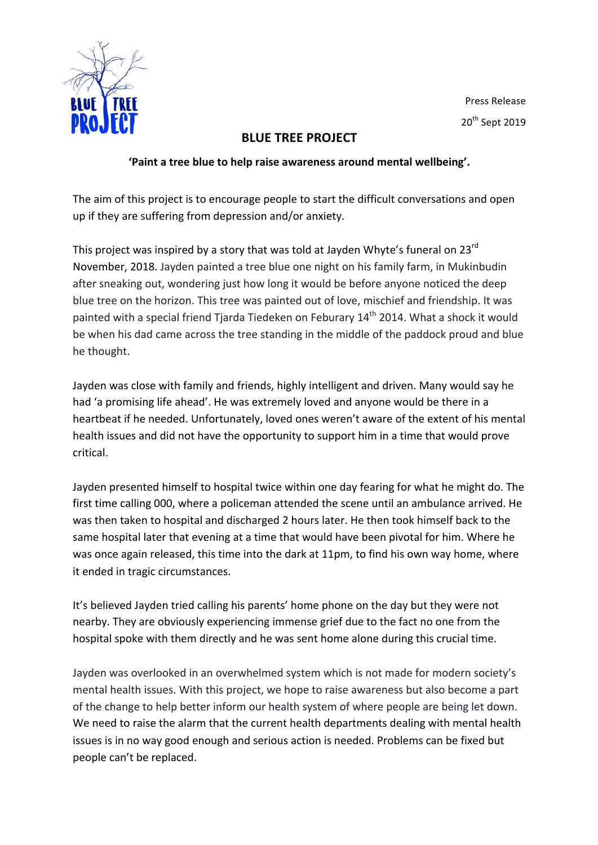

Press Release 20<sup>th</sup> Sept 2019

## **BLUE TREE PROJECT**

## 'Paint a tree blue to help raise awareness around mental wellbeing'.

The aim of this project is to encourage people to start the difficult conversations and open up if they are suffering from depression and/or anxiety.

This project was inspired by a story that was told at Jayden Whyte's funeral on  $23^{\text{rd}}$ November, 2018. Jayden painted a tree blue one night on his family farm, in Mukinbudin after sneaking out, wondering just how long it would be before anyone noticed the deep blue tree on the horizon. This tree was painted out of love, mischief and friendship. It was painted with a special friend Tjarda Tiedeken on Feburary 14<sup>th</sup> 2014. What a shock it would be when his dad came across the tree standing in the middle of the paddock proud and blue he thought.

Jayden was close with family and friends, highly intelligent and driven. Many would say he had 'a promising life ahead'. He was extremely loved and anyone would be there in a heartbeat if he needed. Unfortunately, loved ones weren't aware of the extent of his mental health issues and did not have the opportunity to support him in a time that would prove critical.

Jayden presented himself to hospital twice within one day fearing for what he might do. The first time calling 000, where a policeman attended the scene until an ambulance arrived. He was then taken to hospital and discharged 2 hours later. He then took himself back to the same hospital later that evening at a time that would have been pivotal for him. Where he was once again released, this time into the dark at 11pm, to find his own way home, where it ended in tragic circumstances.

It's believed Jayden tried calling his parents' home phone on the day but they were not nearby. They are obviously experiencing immense grief due to the fact no one from the hospital spoke with them directly and he was sent home alone during this crucial time.

Jayden was overlooked in an overwhelmed system which is not made for modern society's mental health issues. With this project, we hope to raise awareness but also become a part of the change to help better inform our health system of where people are being let down. We need to raise the alarm that the current health departments dealing with mental health issues is in no way good enough and serious action is needed. Problems can be fixed but people can't be replaced.